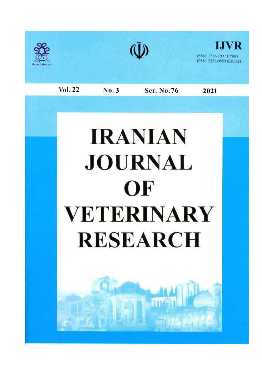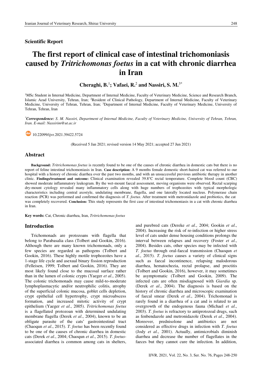#### **Scientific Report**

# The first report of clinical case of intestinal trichomoniasis caused by Tritrichomonas foetus in a cat with chronic diarrhea in Iran

Cheraghi, B.<sup>1</sup>; Vafaei, R.<sup>2</sup> and Nassiri, S. M.<sup>3\*</sup>

<sup>1</sup>MSc Student in Internal Medicine. Department of Internal Medicine. Faculty of Veterinary Medicine. Science and Research Branch. Islamic Azad University, Tehran, Iran; <sup>2</sup>Resident of Clinical Pathology, Department of Internal Medicine, Faculty of Veterinary Medicine, University of Tehran, Tehran, Iran; <sup>3</sup>Department of Internal Medicine, Faculty of Veterinary Medicine, University of Tehran, Tehran, Iran

\*Correspondence: S. M. Nassiri, Department of Internal Medicine, Faculty of Veterinary Medicine, University of Tehran, Tehran, Iran. E-mail: Nassirim@ut.ac.ir

 $\frac{60}{10}$  10.22099/ijvr.2021.39422.5724

(Received 5 Jan 2021; revised version 14 May 2021; accepted 27 Jun 2021)

#### **Abstract**

Background: Tritrichomonas foetus is recently found to be one of the causes of chronic diarrhea in domestic cats but there is no report of feline intestinal trichomoniasis in Iran. Case description: A 9 months female domestic short-haired cat was referred to our hospital with a history of chronic diarrhea over the past two months, and with an unsuccessful previous antibiotic therapy in another clinic. Findings/treatment and outcome: Clinical examination revealed 39.8°C rectal temperature. Complete blood count (CBC) showed moderate inflammatory leukogram. By the wet-mount faecal assessment, moving organisms were observed. Rectal scarping dry-mount cytology revealed many inflammatory cells along with huge numbers of trophozoites with typical morphologic characteristics including central axostyle, undulating membrane, flagella, and one laterally located nucleus. Polymerase chain reaction (PCR) was performed and confirmed the diagnosis of T. foetus. After treatment with metronidazole and probiotics, the cat was completely recovered. Conclusion: This study represents the first case of intestinal trichomoniasis in a cat with chronic diarrhea in Iran

Key words: Cat, Chronic diarrhea, Iran, Tritrichomonas foetus

## **Introduction**

Trichomonads are protozoans with flagella that belong to Parabasalia class (Tolbert and Gookin, 2016). Although there are many known trichomonads, only a few species are regarded as pathogens (Tolbert and Gookin, 2016). These highly motile trophozoites have a 1-stage life cycle and asexual binary fission reproduction (Felleisen, 1999; Tolbert and Gookin, 2016). They are most likely found close to the mucosal surface rather than in the lumen of colonic crypts (Yaeger et al., 2005). The colonic trichomonads may cause mild-to-moderate lymphoplasmacytic and/or neutrophilic colitis, atrophy of the superficial colonic mucosa, goblet cells depletion, crypt epithelial cell hypertrophy, crypt microabscess formation, and increased mitotic activity of crypt epithelium (Yaeger et al., 2005). Tritrichomonas foetus is a flagellated protozoan with determined undulating membrane flagella (Derek et al., 2004), known to be an obligate parasite of the cats' gastrointestinal tract (Chaoqun et al., 2015). T. foetus has been recently found to be one of the causes of chronic diarrhea in domestic cats (Derek et al., 2004; Chaoqun et al., 2015). T. foetusassociated diarrhea is common among cats in shelters, and purebred cats (Dereke et al., 2004; Gookin et al., 2004). Increasing the risk of re-infection or higher stress level of cats under dense housing conditions prolongs the interval between relapses and recovery (Foster et al., 2004). Besides cats, other species may be infected with T. foetus through oral-faecal transmission (Chaoqun et al., 2015). T. foetus causes a variety of clinical signs such as faecal incontinence, relapsing malodorous diarrhea, hematochezia, rectal prolapse, and proctitis (Tolbert and Gookin, 2016), however, it may sometimes be asymptomatic (Tolbert and Gookin, 2009). The infected cats are often misdiagnosed with Giardia sp. (Derek et al., 2004). The diagnosis is based on the history of chronic diarrhea and microscopic examination of faecal smear (Derek et al., 2004). Trichomonad is rarely found in a diarrhea of a cat and is related to an overgrowth of the endogenous fauna (Michael et al., 2003). T. foetus is refractory to antiprotozoal drugs, such as fenbendazole and metronidazole (Derek et al., 2004). Moreover, prednisolone and antibiotics are not considered as effective drugs in infection with *T. foetus* (Jody et al., 2001). Actually, antimicrobials diminish diarrhea and decrease the number of flagellates in the facces but they cannot cure the infection. In addition,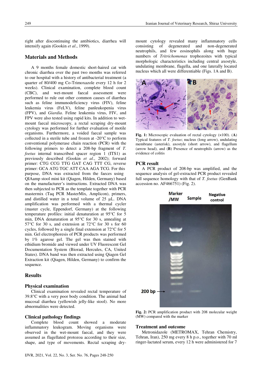right after discontinuing the antibiotics, diarrhea will intensify again (Gookin et al., 1999).

## **Materials and Methods**

A 9 months female domestic short-haired cat with chronic diarrhea over the past two months was referred to our hospital with a history of antibacterial treatment (a quarter of 80/400 mg Co-Trimoxazole every 12 h for 2 weeks). Clinical examination, complete blood count (CBC), and wet-mount faecal assessment were performed to rule out other common causes of diarrhea such as feline immunodeficiency virus (FIV), feline leukemia virus (FeLV), feline panleukopenia virus (FPV), and Giardia. Feline leukemia virus, FIV, and FPV were also tested using rapid kits. In addition to wetmount faecal microscopy, a rectal scraping dry-mount cytology was performed for further evaluation of motile organisms. Furthermore, a voided faecal sample was collected in a sterile tube and frozen at  $-20^{\circ}$ C to perform conventional polymerase chain reaction (PCR) with the following primers to detect a  $208$ -bp fragment of  $T$ . *foetus* internal transcribed spacer region 1 (ITS1) as previously described (Gookin et al., 2002); forward primer: CTG CCG TTG GAT CAG TTT CG, reverse primer: GCA ATG TGC ATT CAA AGA TCG. For this purpose, DNA was extracted from the faeces using OIAamp stool mini kit (Oiagen, Hilden, Germany) based on the manufacturer's instructions. Extracted DNA was then subjected to PCR as the template together with PCR mastermix (Taq PCR MasterMix, Amplicon), primers, and distilled water in a total volume of 25 µL. DNA amplification was performed with a thermal cycler (master cycle, Eppendorf, Germany) at the following temperature profiles: initial denaturation at 95°C for 5 min, DNA denaturation at 95°C for 30 s, annealing at 57 $\degree$ C for 30 s, and extension at 72 $\degree$ C for 30 s for 60 cycles, followed by a single final extension at  $72^{\circ}$ C for 5 min. Gel electrophoresis of PCR products was performed by 1% agarose gel. The gel was then stained with ethidium bromide and viewed under UV Fluorescent Gel Documentation System (Biorad, Hercules, CA, United States). DNA band was then extracted using Qiagen Gel Extraction kit (Qiagen, Hilden, Germany) to confirm the sequence.

#### **Results**

## **Physical examination**

Clinical examination revealed rectal temperature of 39.8°C with a very poor body condition. The animal had mucosal diarrhea (yellowish jelly-like stool). No more abnormalities were detected.

## **Clinical pathology findings**

Complete blood count showed a moderate inflammatory leukogram. Moving organisms were observed in the wet-mount faecal, and they were assumed as flagellated protozoa according to their size, shape, and type of movements. Rectal scraping drymount cytology revealed many inflammatory cells consisting of degenerated and non-degenerated neutrophils, and few eosinophils along with huge numbers of Tritrichomonas trophozoites with typical morphologic characteristics including central axostyle, undulating membrane, flagella, and one laterally located nucleus which all were differentiable (Figs. 1A and B).



Fig. 1: Microscopic evaluation of rectal cytology  $(x100)$ . (A) Typical features of T. foetus; nucleus (long arrow), undulating membrane (asterisk), axostyle (short arrow), and flagellum (arrow head), and  $(B)$  Presence of neutrophils (arrow) as the evidence of colitis

#### **PCR** result

A PCR product of 208-bp was amplified, and the sequence analysis of gel-extracted PCR product revealed full sequence homology with that of T. foetus (GenBank accession no. AF466751) (Fig. 2).



Fig. 2: PCR amplification product with 208 molecular weight (MW) compared with the marker

## **Treatment and outcome**

Metronidazole (METROMAX, Tehran Chemistry, Tehran, Iran), 250 mg every 8 h p.o., together with 70 ml ringer-lactated serum, every 12 h were administered for 7